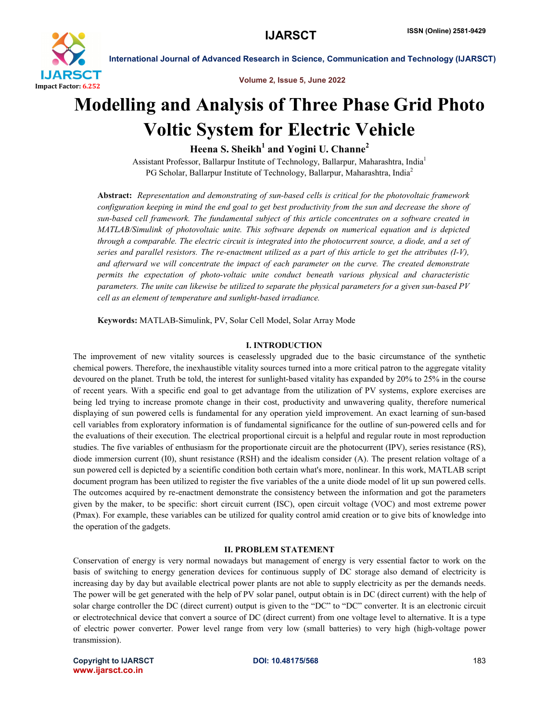

Volume 2, Issue 5, June 2022

# Modelling and Analysis of Three Phase Grid Photo Voltic System for Electric Vehicle

Heena S. Sheikh<sup>1</sup> and Yogini U. Channe<sup>2</sup>

Assistant Professor, Ballarpur Institute of Technology, Ballarpur, Maharashtra, India1 PG Scholar, Ballarpur Institute of Technology, Ballarpur, Maharashtra, India<sup>2</sup>

Abstract: *Representation and demonstrating of sun-based cells is critical for the photovoltaic framework configuration keeping in mind the end goal to get best productivity from the sun and decrease the shore of sun-based cell framework. The fundamental subject of this article concentrates on a software created in MATLAB/Simulink of photovoltaic unite. This software depends on numerical equation and is depicted through a comparable. The electric circuit is integrated into the photocurrent source, a diode, and a set of series and parallel resistors. The re-enactment utilized as a part of this article to get the attributes (I-V), and afterward we will concentrate the impact of each parameter on the curve. The created demonstrate permits the expectation of photo-voltaic unite conduct beneath various physical and characteristic parameters. The unite can likewise be utilized to separate the physical parameters for a given sun-based PV cell as an element of temperature and sunlight-based irradiance.*

Keywords: MATLAB-Simulink, PV, Solar Cell Model, Solar Array Mode

### I. INTRODUCTION

The improvement of new vitality sources is ceaselessly upgraded due to the basic circumstance of the synthetic chemical powers. Therefore, the inexhaustible vitality sources turned into a more critical patron to the aggregate vitality devoured on the planet. Truth be told, the interest for sunlight-based vitality has expanded by 20% to 25% in the course of recent years. With a specific end goal to get advantage from the utilization of PV systems, explore exercises are being led trying to increase promote change in their cost, productivity and unwavering quality, therefore numerical displaying of sun powered cells is fundamental for any operation yield improvement. An exact learning of sun-based cell variables from exploratory information is of fundamental significance for the outline of sun-powered cells and for the evaluations of their execution. The electrical proportional circuit is a helpful and regular route in most reproduction studies. The five variables of enthusiasm for the proportionate circuit are the photocurrent (IPV), series resistance (RS), diode immersion current (I0), shunt resistance (RSH) and the idealism consider (A). The present relation voltage of a sun powered cell is depicted by a scientific condition both certain what's more, nonlinear. In this work, MATLAB script document program has been utilized to register the five variables of the a unite diode model of lit up sun powered cells. The outcomes acquired by re-enactment demonstrate the consistency between the information and got the parameters given by the maker, to be specific: short circuit current (ISC), open circuit voltage (VOC) and most extreme power (Pmax). For example, these variables can be utilized for quality control amid creation or to give bits of knowledge into the operation of the gadgets.

#### II. PROBLEM STATEMENT

Conservation of energy is very normal nowadays but management of energy is very essential factor to work on the basis of switching to energy generation devices for continuous supply of DC storage also demand of electricity is increasing day by day but available electrical power plants are not able to supply electricity as per the demands needs. The power will be get generated with the help of PV solar panel, output obtain is in DC (direct current) with the help of solar charge controller the DC (direct current) output is given to the "DC" to "DC" converter. It is an electronic circuit or electrotechnical device that convert a source of DC (direct current) from one voltage level to alternative. It is a type of electric power converter. Power level range from very low (small batteries) to very high (high-voltage power transmission).

Copyright to IJARSCTDOI: 10.48175/568 **183** www.ijarsct.co.in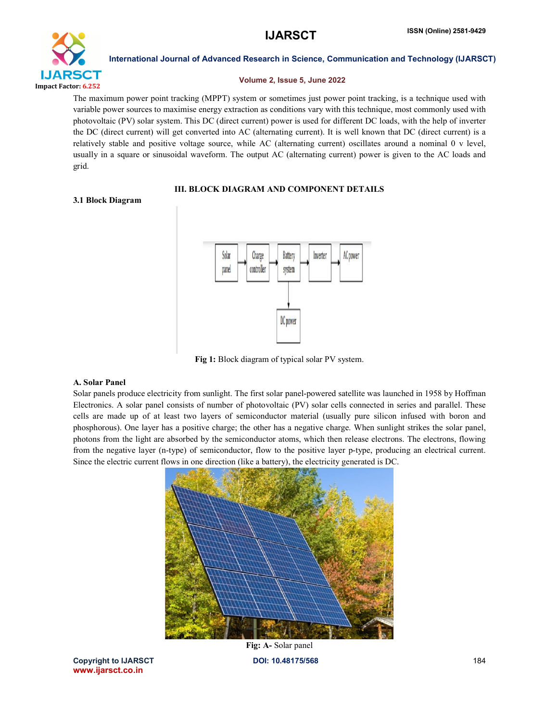

#### Volume 2, Issue 5, June 2022

The maximum power point tracking (MPPT) system or sometimes just power point tracking, is a technique used with variable power sources to maximise energy extraction as conditions vary with this technique, most commonly used with photovoltaic (PV) solar system. This DC (direct current) power is used for different DC loads, with the help of inverter the DC (direct current) will get converted into AC (alternating current). It is well known that DC (direct current) is a relatively stable and positive voltage source, while AC (alternating current) oscillates around a nominal 0 v level, usually in a square or sinusoidal waveform. The output AC (alternating current) power is given to the AC loads and grid.

# III. BLOCK DIAGRAM AND COMPONENT DETAILS

### 3.1 Block Diagram



Fig 1: Block diagram of typical solar PV system.

# A. Solar Panel

Solar panels produce electricity from sunlight. The first solar panel-powered satellite was launched in 1958 by Hoffman Electronics. A solar panel consists of number of photovoltaic (PV) solar cells connected in series and parallel. These cells are made up of at least two layers of semiconductor material (usually pure silicon infused with boron and phosphorous). One layer has a positive charge; the other has a negative charge. When sunlight strikes the solar panel, photons from the light are absorbed by the semiconductor atoms, which then release electrons. The electrons, flowing from the negative layer (n-type) of semiconductor, flow to the positive layer p-type, producing an electrical current. Since the electric current flows in one direction (like a battery), the electricity generated is DC.



Copyright to IJARSCTDOI: 10.48175/568 **184** www.ijarsct.co.in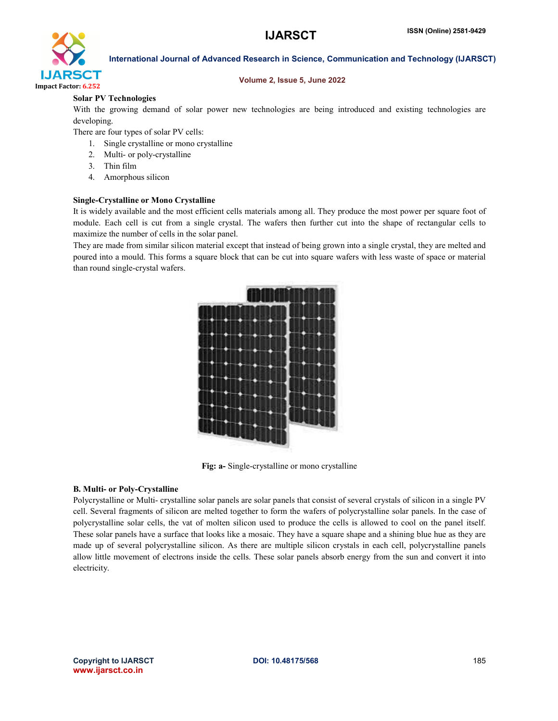

### Volume 2, Issue 5, June 2022

# Solar PV Technologies

With the growing demand of solar power new technologies are being introduced and existing technologies are developing.

There are four types of solar PV cells:

- 1. Single crystalline or mono crystalline
- 2. Multi- or poly-crystalline
- 3. Thin film
- 4. Amorphous silicon

# Single-Crystalline or Mono Crystalline

It is widely available and the most efficient cells materials among all. They produce the most power per square foot of module. Each cell is cut from a single crystal. The wafers then further cut into the shape of rectangular cells to maximize the number of cells in the solar panel.

They are made from similar silicon material except that instead of being grown into a single crystal, they are melted and poured into a mould. This forms a square block that can be cut into square wafers with less waste of space or material than round single-crystal wafers.



Fig: a- Single-crystalline or mono crystalline

# B. Multi- or Poly-Crystalline

Polycrystalline or Multi- crystalline solar panels are solar panels that consist of several crystals of silicon in a single PV cell. Several fragments of silicon are melted together to form the wafers of polycrystalline solar panels. In the case of polycrystalline solar cells, the vat of molten silicon used to produce the cells is allowed to cool on the panel itself. These solar panels have a surface that looks like a mosaic. They have a square shape and a shining blue hue as they are made up of several polycrystalline silicon. As there are multiple silicon crystals in each cell, polycrystalline panels allow little movement of electrons inside the cells. These solar panels absorb energy from the sun and convert it into electricity.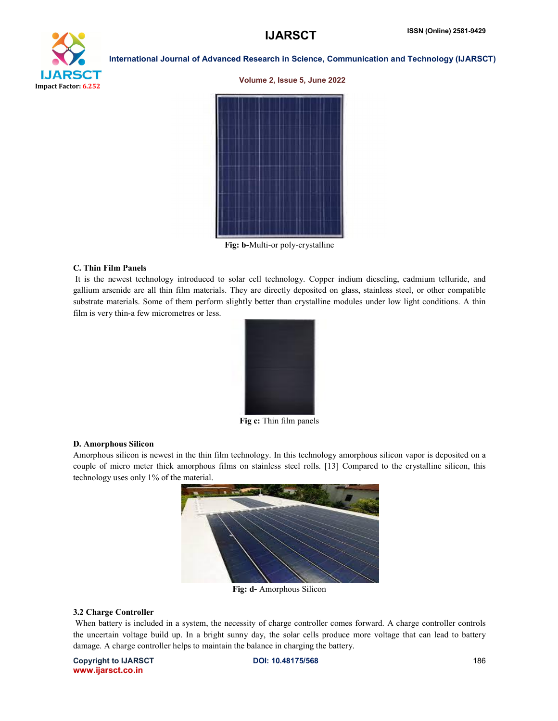

#### Volume 2, Issue 5, June 2022



Fig: b-Multi-or poly-crystalline

#### C. Thin Film Panels

It is the newest technology introduced to solar cell technology. Copper indium dieseling, cadmium telluride, and gallium arsenide are all thin film materials. They are directly deposited on glass, stainless steel, or other compatible substrate materials. Some of them perform slightly better than crystalline modules under low light conditions. A thin film is very thin-a few micrometres or less.



Fig c: Thin film panels

#### D. Amorphous Silicon

Amorphous silicon is newest in the thin film technology. In this technology amorphous silicon vapor is deposited on a couple of micro meter thick amorphous films on stainless steel rolls. [13] Compared to the crystalline silicon, this technology uses only 1% of the material.



Fig: d- Amorphous Silicon

#### 3.2 Charge Controller

When battery is included in a system, the necessity of charge controller comes forward. A charge controller controls the uncertain voltage build up. In a bright sunny day, the solar cells produce more voltage that can lead to battery damage. A charge controller helps to maintain the balance in charging the battery.

Copyright to IJARSCTDOI: 10.48175/568 **186** www.ijarsct.co.in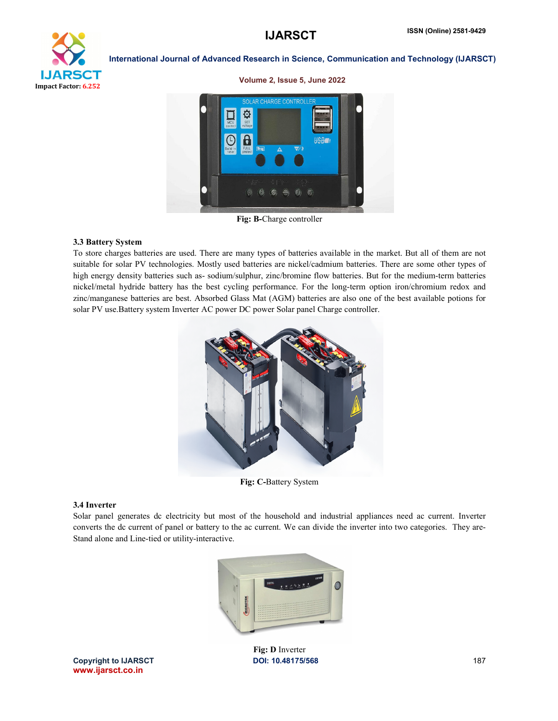Volume 2, Issue 5, June 2022



#### International Journal of Advanced Research in Science, Communication and Technology (IJARSCT)

Fig: B-Charge controller

### 3.3 Battery System

To store charges batteries are used. There are many types of batteries available in the market. But all of them are not suitable for solar PV technologies. Mostly used batteries are nickel/cadmium batteries. There are some other types of high energy density batteries such as- sodium/sulphur, zinc/bromine flow batteries. But for the medium-term batteries nickel/metal hydride battery has the best cycling performance. For the long-term option iron/chromium redox and zinc/manganese batteries are best. Absorbed Glass Mat (AGM) batteries are also one of the best available potions for solar PV use.Battery system Inverter AC power DC power Solar panel Charge controller.



Fig: C-Battery System

#### 3.4 Inverter

Solar panel generates dc electricity but most of the household and industrial appliances need ac current. Inverter converts the dc current of panel or battery to the ac current. We can divide the inverter into two categories. They are-Stand alone and Line-tied or utility-interactive.



Copyright to IJARSCTDOI: 10.48175/568 **187** www.ijarsct.co.in

Fig: D Inverter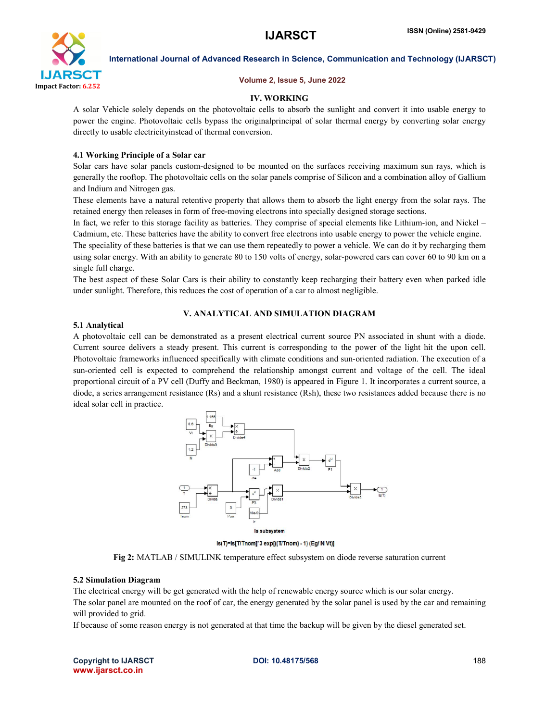

#### Volume 2, Issue 5, June 2022

#### IV. WORKING

A solar Vehicle solely depends on the photovoltaic cells to absorb the sunlight and convert it into usable energy to power the engine. Photovoltaic cells bypass the originalprincipal of solar thermal energy by converting solar energy directly to usable electricityinstead of thermal conversion.

#### 4.1 Working Principle of a Solar car

Solar cars have solar panels custom-designed to be mounted on the surfaces receiving maximum sun rays, which is generally the rooftop. The photovoltaic cells on the solar panels comprise of Silicon and a combination alloy of Gallium and Indium and Nitrogen gas.

These elements have a natural retentive property that allows them to absorb the light energy from the solar rays. The retained energy then releases in form of free-moving electrons into specially designed storage sections.

In fact, we refer to this storage facility as batteries. They comprise of special elements like Lithium-ion, and Nickel – Cadmium, etc. These batteries have the ability to convert free electrons into usable energy to power the vehicle engine.

The speciality of these batteries is that we can use them repeatedly to power a vehicle. We can do it by recharging them using solar energy. With an ability to generate 80 to 150 volts of energy, solar-powered cars can cover 60 to 90 km on a single full charge.

The best aspect of these Solar Cars is their ability to constantly keep recharging their battery even when parked idle under sunlight. Therefore, this reduces the cost of operation of a car to almost negligible.

#### V. ANALYTICAL AND SIMULATION DIAGRAM

#### 5.1 Analytical

A photovoltaic cell can be demonstrated as a present electrical current source PN associated in shunt with a diode. Current source delivers a steady present. This current is corresponding to the power of the light hit the upon cell. Photovoltaic frameworks influenced specifically with climate conditions and sun-oriented radiation. The execution of a sun-oriented cell is expected to comprehend the relationship amongst current and voltage of the cell. The ideal proportional circuit of a PV cell (Duffy and Beckman, 1980) is appeared in Figure 1. It incorporates a current source, a diode, a series arrangement resistance (Rs) and a shunt resistance (Rsh), these two resistances added because there is no ideal solar cell in practice.



Is(T)=Is[T/Tnom]"3 exp[((T/Tnom) - 1) (Eg/NVt)]

Fig 2: MATLAB / SIMULINK temperature effect subsystem on diode reverse saturation current

#### 5.2 Simulation Diagram

The electrical energy will be get generated with the help of renewable energy source which is our solar energy. The solar panel are mounted on the roof of car, the energy generated by the solar panel is used by the car and remaining will provided to grid.

If because of some reason energy is not generated at that time the backup will be given by the diesel generated set.

Copyright to IJARSCTDOI: 10.48175/568 **188** www.ijarsct.co.in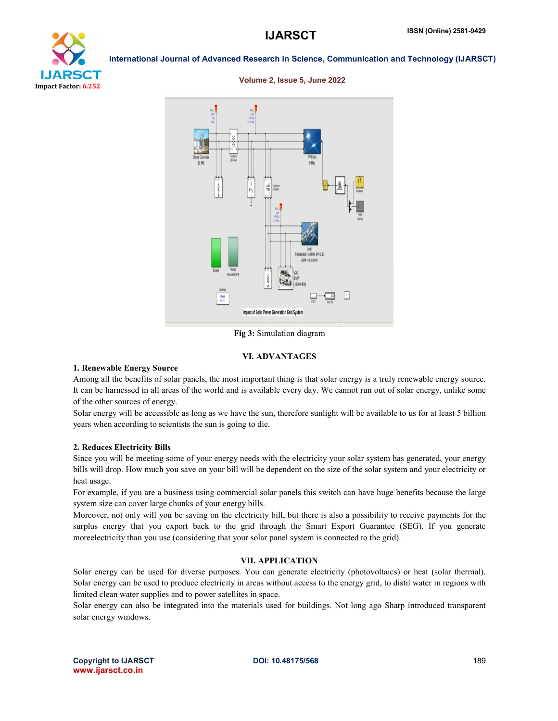

Volume 2, Issue 5, June 2022



# Fig 3: Simulation diagram

#### VI. ADVANTAGES

#### 1. Renewable Energy Source

Among all the benefits of solar panels, the most important thing is that solar energy is a truly renewable energy source. It can be harnessed in all areas of the world and is available every day. We cannot run out of solar energy, unlike some of the other sources of energy.

Solar energy will be accessible as long as we have the sun, therefore sunlight will be available to us for at least 5 billion years when according to scientists the sun is going to die.

#### 2. Reduces Electricity Bills

Since you will be meeting some of your energy needs with the electricity your solar system has generated, your energy bills will drop. How much you save on your bill will be dependent on the size of the solar system and your electricity or heat usage.

For example, if you are a business using commercial solar panels this switch can have huge benefits because the large system size can cover large chunks of your energy bills.

Moreover, not only will you be saving on the electricity bill, but there is also a possibility to receive payments for the surplus energy that you export back to the grid through the Smart Export Guarantee (SEG). If you generate moreelectricity than you use (considering that your solar panel system is connected to the grid).

# VII. APPLICATION

Solar energy can be used for diverse purposes. You can generate electricity (photovoltaics) or heat (solar thermal). Solar energy can be used to produce electricity in areas without access to the energy grid, to distil water in regions with limited clean water supplies and to power satellites in space.

Solar energy can also be integrated into the materials used for buildings. Not long ago Sharp introduced transparent solar energy windows.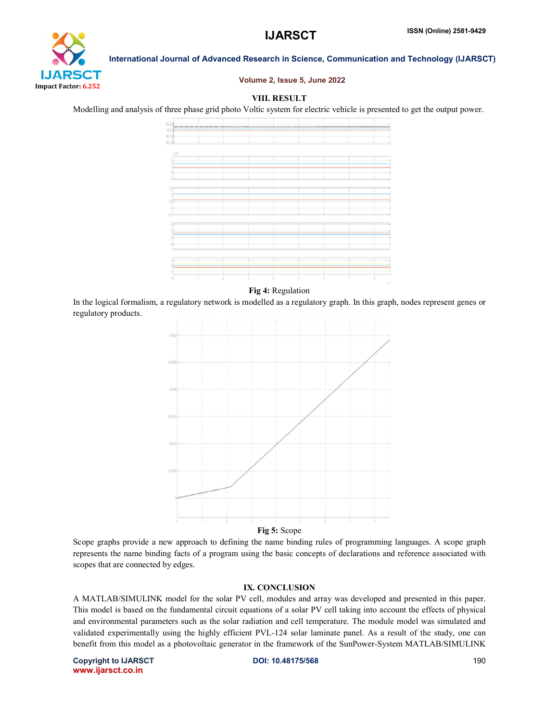# **IJARSCT**



#### International Journal of Advanced Research in Science, Communication and Technology (IJARSCT)

#### Volume 2, Issue 5, June 2022

# VIII. RESULT

Modelling and analysis of three phase grid photo Voltic system for electric vehicle is presented to get the output power.



Fig 4: Regulation

In the logical formalism, a regulatory network is modelled as a regulatory graph. In this graph, nodes represent genes or regulatory products.



Scope graphs provide a new approach to defining the name binding rules of programming languages. A scope graph represents the name binding facts of a program using the basic concepts of declarations and reference associated with scopes that are connected by edges. represents the name binding facts of a program using the basic concepts of declarations and reference associated with<br>scopes that are connected by edges.<br>**IX. CONCLUSION**<br>A MATLAB/SIMULINK model for the solar PV cell, modu

#### IX. CONCLUSION

A MATLAB/SIMULINK model for the solar PV cell, modules and array was developed and presented in this paper.<br>This model is based on the fundamental circuit equations of a solar PV cell taking into account the effects of phy and environmental parameters such as the solar radiation and cell temperature. The module model was simulated and This model is based on the fundamental circuit equations of a solar PV cell taking into account the effects of physical<br>and environmental parameters such as the solar radiation and cell temperature. The module model was si benefit from this model as a photovoltaic generator in the framework of the SunPower-System MATLAB/SIMULINK

Copyright to IJARSCT www.ijarsct.co.in